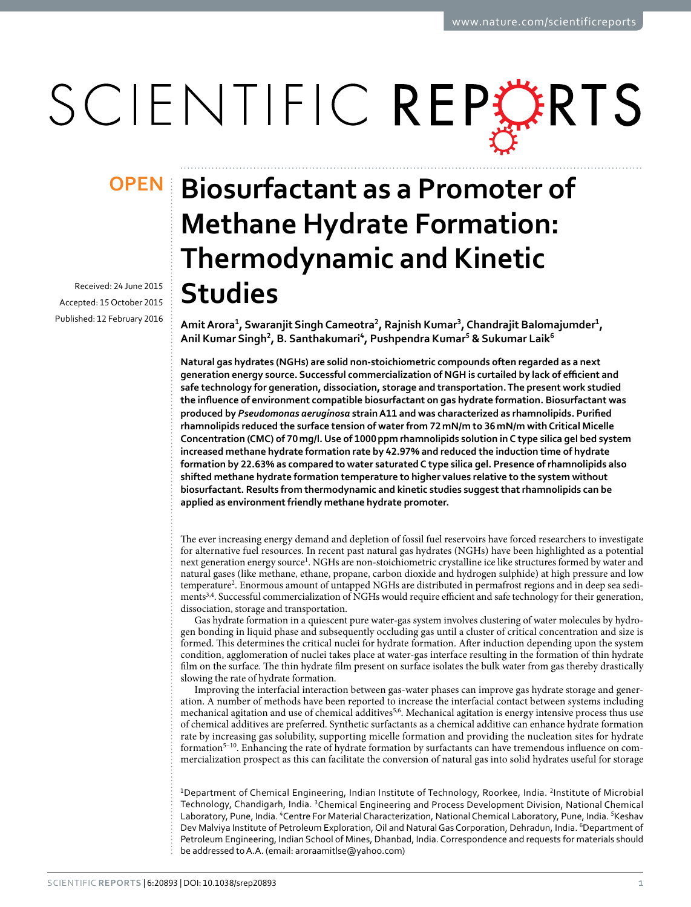# SCIENTIFIC REPERTS

Received: 24 June 2015 Accepted: 15 October 2015 Published: 12 February 2016

## **Biosurfactant as a promoter of opeNMethane Hydrate Formation: thermodynamic and Kinetic studies**

**Amit Arora<sup>1</sup> , swaranjit singh Cameotra<sup>2</sup> , Rajnish Kumar<sup>3</sup> , Chandrajit Balomajumder<sup>1</sup> , Anil Kumar singh<sup>2</sup> , B. santhakumari<sup>4</sup> , pushpendra Kumar<sup>5</sup> & sukumar Laik<sup>6</sup>**

**Natural gas hydrates (NGHs) are solid non-stoichiometric compounds often regarded as a next generation energy source. Successful commercialization of NGH is curtailed by lack of efficient and safe technology for generation, dissociation, storage and transportation. the present work studied the influence of environment compatible biosurfactant on gas hydrate formation. Biosurfactant was produced by** *Pseudomonas aeruginosa* **strain A11 and was characterized as rhamnolipids. Purified rhamnolipids reduced the surface tension of water from 72 mN/m to 36 mN/m with Critical Micelle Concentration (CMC) of 70 mg/l. Use of 1000 ppm rhamnolipids solution in C type silica gel bed system increased methane hydrate formation rate by 42.97% and reduced the induction time of hydrate formation by 22.63% as compared to water saturated C type silica gel. Presence of rhamnolipids also shifted methane hydrate formation temperature to higher values relative to the system without biosurfactant. Results from thermodynamic and kinetic studies suggest that rhamnolipids can be applied as environment friendly methane hydrate promoter.**

The ever increasing energy demand and depletion of fossil fuel reservoirs have forced researchers to investigate for alternative fuel resources. In recent past natural gas hydrates (NGHs) have been highlighted as a potential next generation energy source<sup>1</sup>. NGHs are non-stoichiometric crystalline ice like structures formed by water and natural gases (like methane, ethane, propane, carbon dioxide and hydrogen sulphide) at high pressure and low temperature<sup>2</sup>. Enormous amount of untapped NGHs are distributed in permafrost regions and in deep sea sediments<sup>3,4</sup>. Successful commercialization of NGHs would require efficient and safe technology for their generation, dissociation, storage and transportation.

Gas hydrate formation in a quiescent pure water-gas system involves clustering of water molecules by hydrogen bonding in liquid phase and subsequently occluding gas until a cluster of critical concentration and size is formed. This determines the critical nuclei for hydrate formation. After induction depending upon the system condition, agglomeration of nuclei takes place at water-gas interface resulting in the formation of thin hydrate film on the surface. The thin hydrate film present on surface isolates the bulk water from gas thereby drastically slowing the rate of hydrate formation.

Improving the interfacial interaction between gas-water phases can improve gas hydrate storage and generation. A number of methods have been reported to increase the interfacial contact between systems including mechanical agitation and use of chemical additives $5.6$ . Mechanical agitation is energy intensive process thus use of chemical additives are preferred. Synthetic surfactants as a chemical additive can enhance hydrate formation rate by increasing gas solubility, supporting micelle formation and providing the nucleation sites for hydrate formation<sup>5–10</sup>. Enhancing the rate of hydrate formation by surfactants can have tremendous influence on commercialization prospect as this can facilitate the conversion of natural gas into solid hydrates useful for storage

<sup>1</sup>Department of Chemical Engineering, Indian Institute of Technology, Roorkee, India. <sup>2</sup>Institute of Microbial Technology, Chandigarh, India. <sup>3</sup>Chemical Engineering and Process Development Division, National Chemical Laboratory, Pune, India. <sup>4</sup>Centre For Material Characterization, National Chemical Laboratory, Pune, India. <sup>5</sup>Keshav Dev Malviya Institute of Petroleum Exploration, Oil and Natural Gas Corporation, Dehradun, India. <sup>6</sup>Department of Petroleum Engineering, Indian School of Mines, Dhanbad, India. Correspondence and requests for materials should be addressed to A.A. (email: aroraamitlse@yahoo.com)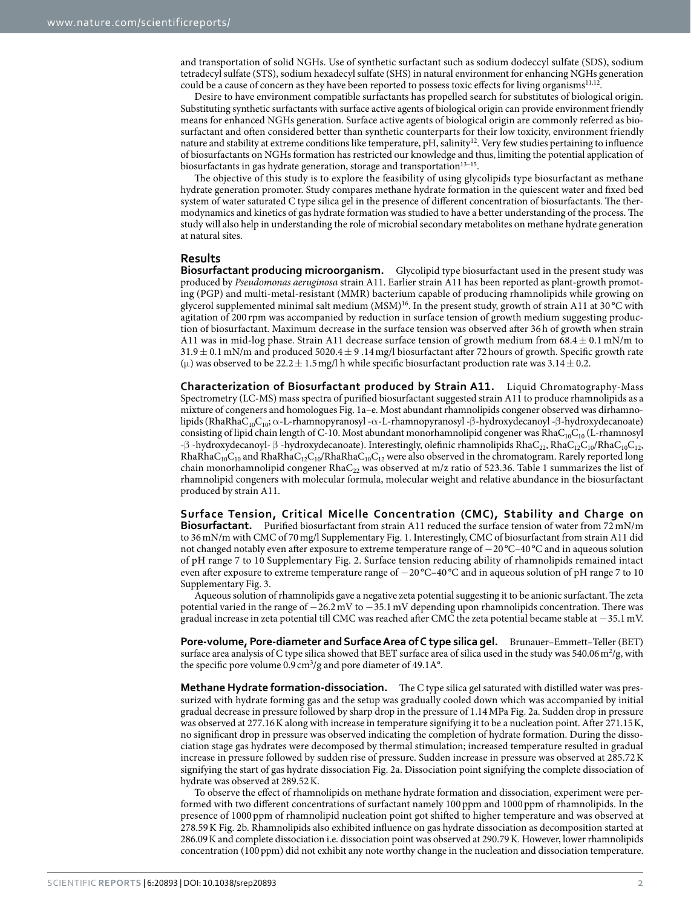and transportation of solid NGHs. Use of synthetic surfactant such as sodium dodeccyl sulfate (SDS), sodium tetradecyl sulfate (STS), sodium hexadecyl sulfate (SHS) in natural environment for enhancing NGHs generation could be a cause of concern as they have been reported to possess toxic effects for living organisms<sup>11,12</sup>.

Desire to have environment compatible surfactants has propelled search for substitutes of biological origin. Substituting synthetic surfactants with surface active agents of biological origin can provide environment friendly means for enhanced NGHs generation. Surface active agents of biological origin are commonly referred as biosurfactant and often considered better than synthetic counterparts for their low toxicity, environment friendly nature and stability at extreme conditions like temperature, pH, salinity<sup>12</sup>. Very few studies pertaining to influence of biosurfactants on NGHs formation has restricted our knowledge and thus, limiting the potential application of biosurfactants in gas hydrate generation, storage and transportation<sup>13-15</sup>.

The objective of this study is to explore the feasibility of using glycolipids type biosurfactant as methane hydrate generation promoter. Study compares methane hydrate formation in the quiescent water and fixed bed system of water saturated C type silica gel in the presence of different concentration of biosurfactants. The thermodynamics and kinetics of gas hydrate formation was studied to have a better understanding of the process. The study will also help in understanding the role of microbial secondary metabolites on methane hydrate generation at natural sites.

#### **Results**

**Biosurfactant producing microorganism.** Glycolipid type biosurfactant used in the present study was produced by Pseudomonas aeruginosa strain A11. Earlier strain A11 has been reported as plant-growth promoting (PGP) and multi-metal-resistant (MMR) bacterium capable of producing rhamnolipids while growing on glycerol supplemented minimal salt medium (MSM)<sup>16</sup>. In the present study, growth of strain A11 at 30 °C with agitation of 200 rpm was accompanied by reduction in surface tension of growth medium suggesting production of biosurfactant. Maximum decrease in the surface tension was observed after 36 h of growth when strain A11 was in mid-log phase. Strain A11 decrease surface tension of growth medium from  $68.4 \pm 0.1$  mN/m to  $31.9 \pm 0.1$  mN/m and produced  $5020.4 \pm 9.14$  mg/l biosurfactant after 72 hours of growth. Specific growth rate ( $\mu$ ) was observed to be 22.2  $\pm$  1.5 mg/l h while specific biosurfactant production rate was 3.14  $\pm$  0.2.

**Characterization of Biosurfactant produced by Strain A11.** Liquid Chromatography-Mass Spectrometry (LC-MS) mass spectra of purified biosurfactant suggested strain A11 to produce rhamnolipids as a mixture of congeners and homologues Fig. 1a–e. Most abundant rhamnolipids congener observed was dirhamnolipids (RhaRhaC<sub>10</sub>C<sub>10</sub>; α-L-rhamnopyranosyl -α-L-rhamnopyranosyl -β-hydroxydecanoyl -β-hydroxydecanoate) consisting of lipid chain length of C-10. Most abundant monorhamnolipid congener was  $R$ haC<sub>10</sub>C<sub>10</sub> (L-rhamnosyl -β -hydroxydecanoyl- β -hydroxydecanoate). Interestingly, olefinic rhamnolipids RhaC<sub>22</sub>, RhaC<sub>12</sub>C<sub>10</sub>/RhaC<sub>10</sub>C<sub>12</sub>,  $RhaRhaC_{10}C_{10}$  and  $RhaRhaC_{12}C_{10}/RhaRhaC_{10}C_{12}$  were also observed in the chromatogram. Rarely reported long chain monorhamnolipid congener RhaC<sub>22</sub> was observed at m/z ratio of 523.36. Table 1 summarizes the list of rhamnolipid congeners with molecular formula, molecular weight and relative abundance in the biosurfactant produced by strain A11.

**surface tension, Critical Micelle Concentration (CMC), stability and Charge on Biosurfactant.** Purified biosurfactant from strain A11 reduced the surface tension of water from 72 mN/m to 36 mN/m with CMC of 70 mg/l Supplementary Fig. 1. Interestingly, CMC of biosurfactant from strain A11 did not changed notably even after exposure to extreme temperature range of − 20 °C–40 °C and in aqueous solution of pH range 7 to 10 Supplementary Fig. 2. Surface tension reducing ability of rhamnolipids remained intact even after exposure to extreme temperature range of − 20 °C–40 °C and in aqueous solution of pH range 7 to 10 Supplementary Fig. 3.

Aqueous solution of rhamnolipids gave a negative zeta potential suggesting it to be anionic surfactant. The zeta potential varied in the range of − 26.2 mV to − 35.1 mV depending upon rhamnolipids concentration. There was gradual increase in zeta potential till CMC was reached after CMC the zeta potential became stable at − 35.1 mV.

**Pore-volume, Pore-diameter and Surface Area of C type silica gel.** Brunauer–Emmett–Teller (BET) surface area analysis of C type silica showed that BET surface area of silica used in the study was 540.06 m<sup>2</sup>/g, with the specific pore volume  $0.9 \text{ cm}^3/\text{g}$  and pore diameter of 49.1A°.

**Methane Hydrate formation-dissociation.** The C type silica gel saturated with distilled water was pressurized with hydrate forming gas and the setup was gradually cooled down which was accompanied by initial gradual decrease in pressure followed by sharp drop in the pressure of 1.14 MPa Fig. 2a. Sudden drop in pressure was observed at 277.16 K along with increase in temperature signifying it to be a nucleation point. After 271.15 K, no significant drop in pressure was observed indicating the completion of hydrate formation. During the dissociation stage gas hydrates were decomposed by thermal stimulation; increased temperature resulted in gradual increase in pressure followed by sudden rise of pressure. Sudden increase in pressure was observed at 285.72 K signifying the start of gas hydrate dissociation Fig. 2a. Dissociation point signifying the complete dissociation of hydrate was observed at 289.52 K.

To observe the effect of rhamnolipids on methane hydrate formation and dissociation, experiment were performed with two different concentrations of surfactant namely 100 ppm and 1000 ppm of rhamnolipids. In the presence of 1000 ppm of rhamnolipid nucleation point got shifted to higher temperature and was observed at 278.59 K Fig. 2b. Rhamnolipids also exhibited influence on gas hydrate dissociation as decomposition started at 286.09 K and complete dissociation i.e. dissociation point was observed at 290.79 K. However, lower rhamnolipids concentration (100 ppm) did not exhibit any note worthy change in the nucleation and dissociation temperature.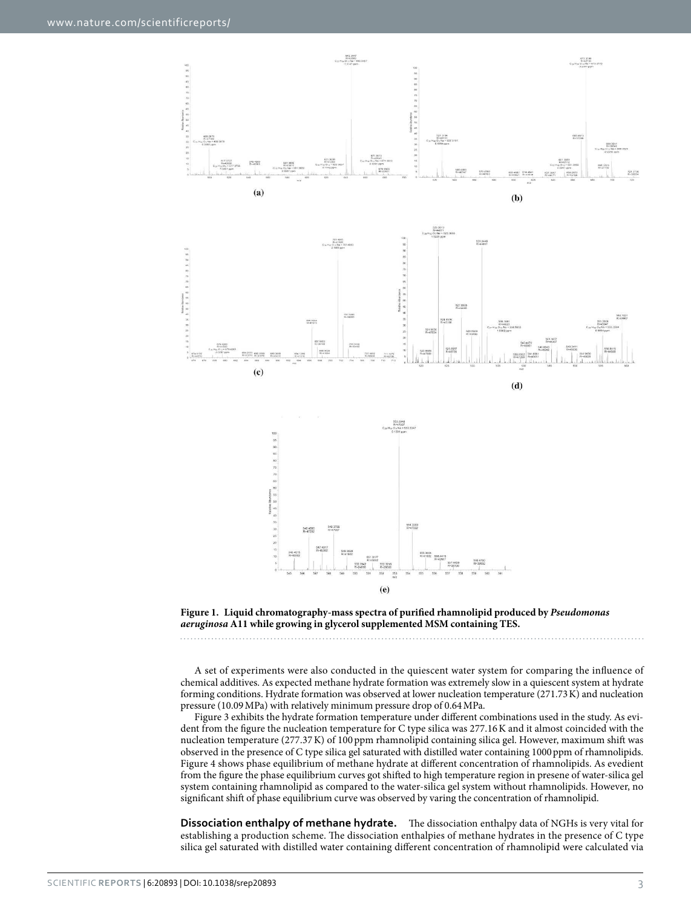



A set of experiments were also conducted in the quiescent water system for comparing the influence of chemical additives. As expected methane hydrate formation was extremely slow in a quiescent system at hydrate forming conditions. Hydrate formation was observed at lower nucleation temperature (271.73 K) and nucleation pressure (10.09 MPa) with relatively minimum pressure drop of 0.64 MPa.

Figure 3 exhibits the hydrate formation temperature under different combinations used in the study. As evident from the figure the nucleation temperature for C type silica was 277.16 K and it almost coincided with the nucleation temperature (277.37 K) of 100 ppm rhamnolipid containing silica gel. However, maximum shift was observed in the presence of C type silica gel saturated with distilled water containing 1000 ppm of rhamnolipids. Figure 4 shows phase equilibrium of methane hydrate at different concentration of rhamnolipids. As evedient from the figure the phase equilibrium curves got shifted to high temperature region in presene of water-silica gel system containing rhamnolipid as compared to the water-silica gel system without rhamnolipids. However, no significant shift of phase equilibrium curve was observed by varing the concentration of rhamnolipid.

**Dissociation enthalpy of methane hydrate.** The dissociation enthalpy data of NGHs is very vital for establishing a production scheme. The dissociation enthalpies of methane hydrates in the presence of C type silica gel saturated with distilled water containing different concentration of rhamnolipid were calculated via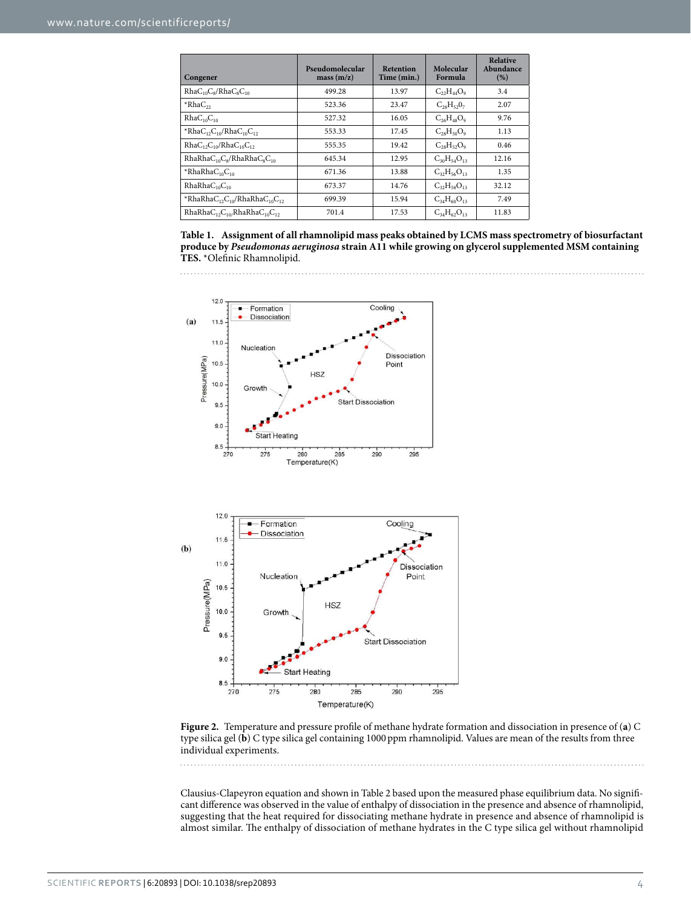| Congener                                      | Pseudomolecular<br>mass(m/z) | <b>Retention</b><br>Time (min.) | Molecular<br>Formula | <b>Relative</b><br>Abundance<br>(% ) |
|-----------------------------------------------|------------------------------|---------------------------------|----------------------|--------------------------------------|
| $RhaC_{10}C_8/RhaC_8C_{10}$                   | 499.28                       | 13.97                           | $C_{22}H_{44}O_9$    | 3.4                                  |
| $*RhaC22$                                     | 523.36                       | 23.47                           | $C_{28}H_{52}0_7$    | 2.07                                 |
| RhaC <sub>10</sub> C <sub>10</sub>            | 527.32                       | 16.05                           | $C_{26}H_{48}O_9$    | 9.76                                 |
| *Rha $C_{12}C_{10}/R$ ha $C_{10}C_{12}$       | 553.33                       | 17.45                           | $C_{28}H_{50}O_9$    | 1.13                                 |
| $RhaC_{12}C_{10}/RhaC_{10}C_{12}$             | 555.35                       | 19.42                           | $C_{28}H_{52}O_9$    | 0.46                                 |
| $RhaRhaC_{10}C_8/RhaRhaC_8C_{10}$             | 645.34                       | 12.95                           | $C_{30}H_{54}O_{13}$ | 12.16                                |
| $*RhaRhaC_{10}C_{10}$                         | 671.36                       | 13.88                           | $C_{32}H_{56}O_{13}$ | 1.35                                 |
| RhaRhaC <sub>10</sub> C <sub>10</sub>         | 673.37                       | 14.76                           | $C_{32}H_{58}O_{13}$ | 32.12                                |
| *RhaRha $C_{12}C_{10}$ /RhaRha $C_{10}C_{12}$ | 699.39                       | 15.94                           | $C_{34}H_{60}O_{13}$ | 7.49                                 |
| $RhaRhaC12C10/RhaRhaC10C12$                   | 701.4                        | 17.53                           | $C_{34}H_{62}O_{13}$ | 11.83                                |





**Figure 2.** Temperature and pressure profile of methane hydrate formation and dissociation in presence of (**a**) C type silica gel (**b**) C type silica gel containing 1000 ppm rhamnolipid. Values are mean of the results from three individual experiments.

Clausius-Clapeyron equation and shown in Table 2 based upon the measured phase equilibrium data. No significant difference was observed in the value of enthalpy of dissociation in the presence and absence of rhamnolipid, suggesting that the heat required for dissociating methane hydrate in presence and absence of rhamnolipid is almost similar. The enthalpy of dissociation of methane hydrates in the C type silica gel without rhamnolipid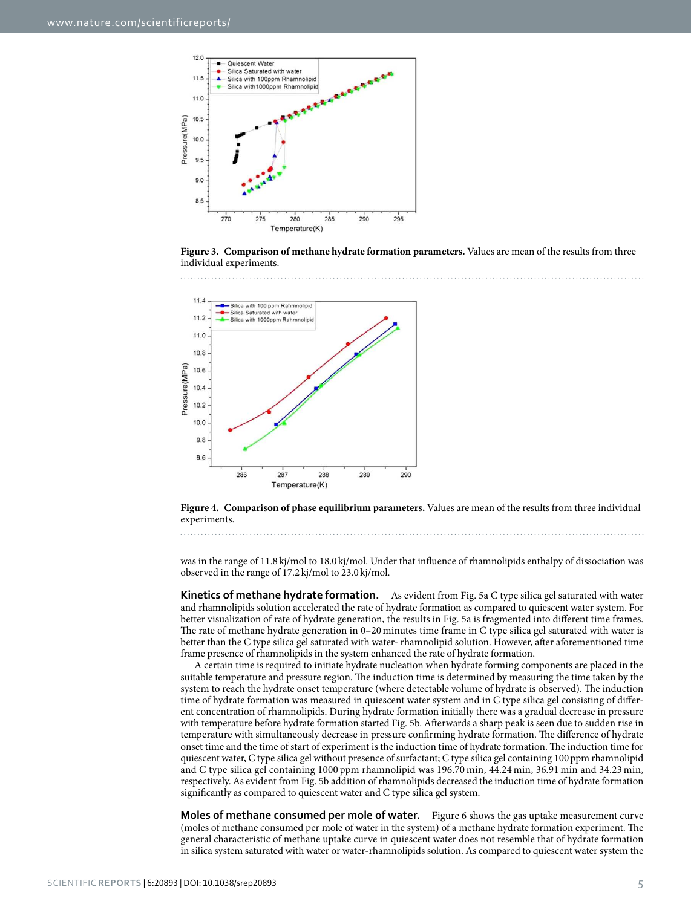

**Figure 3. Comparison of methane hydrate formation parameters.** Values are mean of the results from three individual experiments.



**Figure 4. Comparison of phase equilibrium parameters.** Values are mean of the results from three individual experiments.

was in the range of 11.8 kj/mol to 18.0 kj/mol. Under that influence of rhamnolipids enthalpy of dissociation was observed in the range of 17.2 kj/mol to 23.0 kj/mol.

**Kinetics of methane hydrate formation.** As evident from Fig. 5a C type silica gel saturated with water and rhamnolipids solution accelerated the rate of hydrate formation as compared to quiescent water system. For better visualization of rate of hydrate generation, the results in Fig. 5a is fragmented into different time frames. The rate of methane hydrate generation in 0–20 minutes time frame in C type silica gel saturated with water is better than the C type silica gel saturated with water- rhamnolipid solution. However, after aforementioned time frame presence of rhamnolipids in the system enhanced the rate of hydrate formation.

A certain time is required to initiate hydrate nucleation when hydrate forming components are placed in the suitable temperature and pressure region. The induction time is determined by measuring the time taken by the system to reach the hydrate onset temperature (where detectable volume of hydrate is observed). The induction time of hydrate formation was measured in quiescent water system and in C type silica gel consisting of different concentration of rhamnolipids. During hydrate formation initially there was a gradual decrease in pressure with temperature before hydrate formation started Fig. 5b. Afterwards a sharp peak is seen due to sudden rise in temperature with simultaneously decrease in pressure confirming hydrate formation. The difference of hydrate onset time and the time of start of experiment is the induction time of hydrate formation. The induction time for quiescent water, C type silica gel without presence of surfactant; C type silica gel containing 100 ppm rhamnolipid and C type silica gel containing 1000 ppm rhamnolipid was 196.70 min, 44.24 min, 36.91 min and 34.23 min, respectively. As evident from Fig. 5b addition of rhamnolipids decreased the induction time of hydrate formation significantly as compared to quiescent water and C type silica gel system.

**Moles of methane consumed per mole of water.** Figure 6 shows the gas uptake measurement curve (moles of methane consumed per mole of water in the system) of a methane hydrate formation experiment. The general characteristic of methane uptake curve in quiescent water does not resemble that of hydrate formation in silica system saturated with water or water-rhamnolipids solution. As compared to quiescent water system the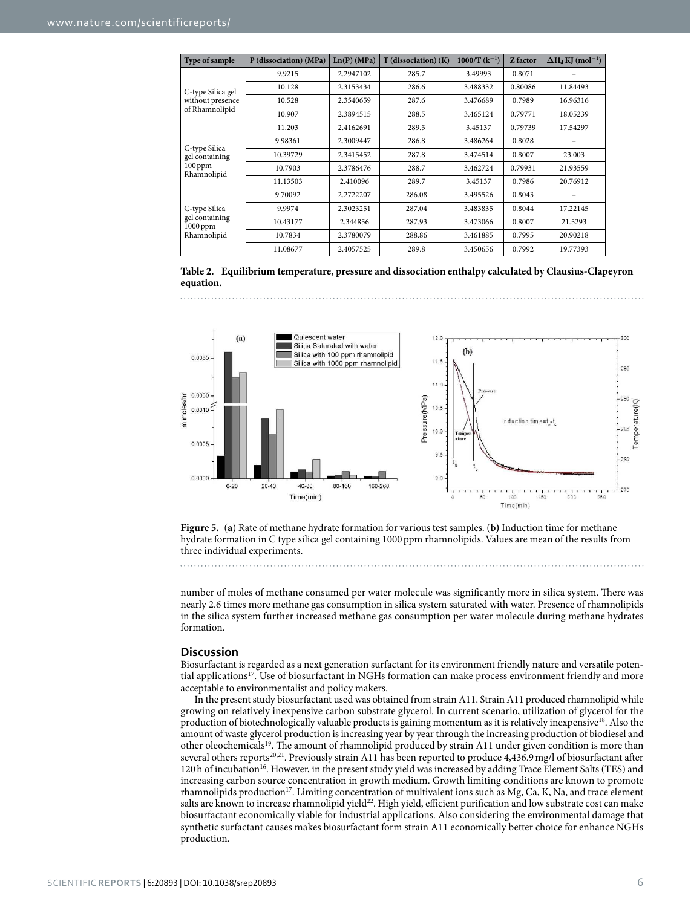| Type of sample                                              | P (dissociation) (MPa) | Ln(P) (MPa) | $T$ (dissociation) $(K)$ | $1000/T (k^{-1})$ | Z factor | $\Delta H_d$ KJ (mol <sup>-1</sup> ) |
|-------------------------------------------------------------|------------------------|-------------|--------------------------|-------------------|----------|--------------------------------------|
| C-type Silica gel<br>without presence<br>of Rhamnolipid     | 9.9215                 | 2.2947102   | 285.7                    | 3.49993           | 0.8071   |                                      |
|                                                             | 10.128                 | 2.3153434   | 286.6                    | 3.488332          | 0.80086  | 11.84493                             |
|                                                             | 10.528                 | 2.3540659   | 287.6                    | 3.476689          | 0.7989   | 16.96316                             |
|                                                             | 10.907                 | 2.3894515   | 288.5                    | 3.465124          | 0.79771  | 18.05239                             |
|                                                             | 11.203                 | 2.4162691   | 289.5                    | 3.45137           | 0.79739  | 17.54297                             |
| C-type Silica<br>gel containing<br>$100$ ppm<br>Rhamnolipid | 9.98361                | 2.3009447   | 286.8                    | 3.486264          | 0.8028   |                                      |
|                                                             | 10.39729               | 2.3415452   | 287.8                    | 3.474514          | 0.8007   | 23.003                               |
|                                                             | 10.7903                | 2.3786476   | 288.7                    | 3.462724          | 0.79931  | 21.93559                             |
|                                                             | 11.13503               | 2.410096    | 289.7                    | 3.45137           | 0.7986   | 20.76912                             |
| C-type Silica<br>gel containing<br>1000 ppm<br>Rhamnolipid  | 9.70092                | 2.2722207   | 286.08                   | 3.495526          | 0.8043   |                                      |
|                                                             | 9.9974                 | 2.3023251   | 287.04                   | 3.483835          | 0.8044   | 17.22145                             |
|                                                             | 10.43177               | 2.344856    | 287.93                   | 3.473066          | 0.8007   | 21.5293                              |
|                                                             | 10.7834                | 2.3780079   | 288.86                   | 3.461885          | 0.7995   | 20.90218                             |
|                                                             | 11.08677               | 2.4057525   | 289.8                    | 3.450656          | 0.7992   | 19.77393                             |

**Table 2. Equilibrium temperature, pressure and dissociation enthalpy calculated by Clausius-Clapeyron equation.**



**Figure 5.** (**a**) Rate of methane hydrate formation for various test samples. (**b)** Induction time for methane hydrate formation in C type silica gel containing 1000 ppm rhamnolipids. Values are mean of the results from three individual experiments.

number of moles of methane consumed per water molecule was significantly more in silica system. There was nearly 2.6 times more methane gas consumption in silica system saturated with water. Presence of rhamnolipids in the silica system further increased methane gas consumption per water molecule during methane hydrates formation.

#### **Discussion**

Biosurfactant is regarded as a next generation surfactant for its environment friendly nature and versatile potential applications<sup>17</sup>. Use of biosurfactant in NGHs formation can make process environment friendly and more acceptable to environmentalist and policy makers.

In the present study biosurfactant used was obtained from strain A11. Strain A11 produced rhamnolipid while growing on relatively inexpensive carbon substrate glycerol. In current scenario, utilization of glycerol for the production of biotechnologically valuable products is gaining momentum as it is relatively inexpensive<sup>18</sup>. Also the amount of waste glycerol production is increasing year by year through the increasing production of biodiesel and other oleochemicals<sup>19</sup>. The amount of rhamnolipid produced by strain A11 under given condition is more than several others reports20,21. Previously strain A11 has been reported to produce 4,436.9 mg/l of biosurfactant after 120 h of incubation<sup>16</sup>. However, in the present study yield was increased by adding Trace Element Salts (TES) and increasing carbon source concentration in growth medium. Growth limiting conditions are known to promote rhamnolipids production<sup>17</sup>. Limiting concentration of multivalent ions such as Mg, Ca, K, Na, and trace element salts are known to increase rhamnolipid yield<sup>22</sup>. High yield, efficient purification and low substrate cost can make biosurfactant economically viable for industrial applications. Also considering the environmental damage that synthetic surfactant causes makes biosurfactant form strain A11 economically better choice for enhance NGHs production.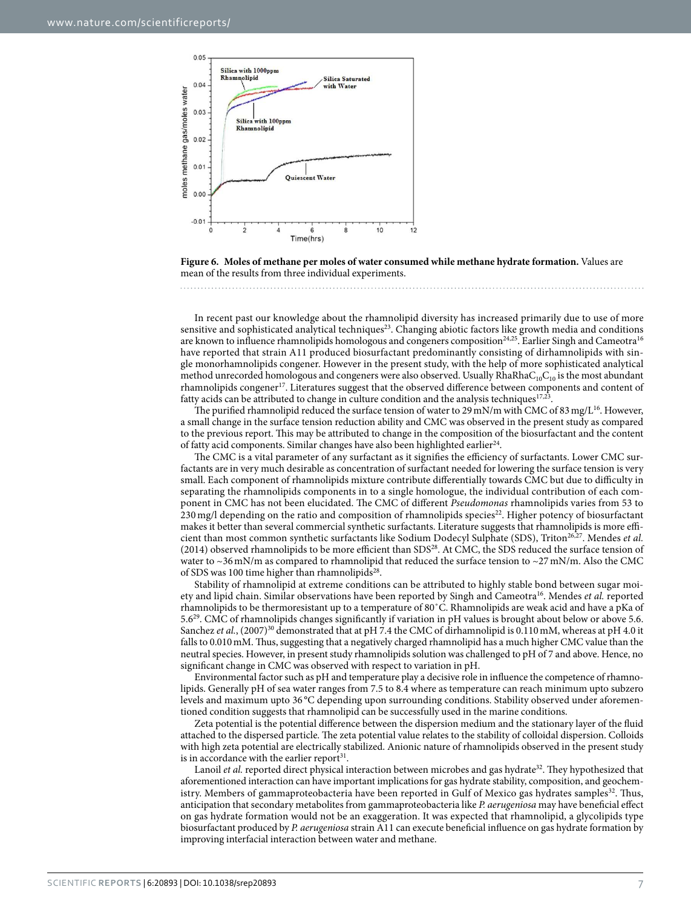

**Figure 6. Moles of methane per moles of water consumed while methane hydrate formation.** Values are mean of the results from three individual experiments.

In recent past our knowledge about the rhamnolipid diversity has increased primarily due to use of more sensitive and sophisticated analytical techniques<sup>23</sup>. Changing abiotic factors like growth media and conditions are known to influence rhamnolipids homologous and congeners composition<sup>24,25</sup>. Earlier Singh and Cameotra<sup>16</sup> have reported that strain A11 produced biosurfactant predominantly consisting of dirhamnolipids with single monorhamnolipids congener. However in the present study, with the help of more sophisticated analytical method unrecorded homologous and congeners were also observed. Usually  $Rh$ aRha $C_{10}C_{10}$  is the most abundant rhamnolipids congener<sup>17</sup>. Literatures suggest that the observed difference between components and content of fatty acids can be attributed to change in culture condition and the analysis techniques<sup>17,23</sup>.

The purified rhamnolipid reduced the surface tension of water to 29 mN/m with CMC of 83 mg/L<sup>16</sup>. However, a small change in the surface tension reduction ability and CMC was observed in the present study as compared to the previous report. This may be attributed to change in the composition of the biosurfactant and the content of fatty acid components. Similar changes have also been highlighted earlier<sup>24</sup>.

The CMC is a vital parameter of any surfactant as it signifies the efficiency of surfactants. Lower CMC surfactants are in very much desirable as concentration of surfactant needed for lowering the surface tension is very small. Each component of rhamnolipids mixture contribute differentially towards CMC but due to difficulty in separating the rhamnolipids components in to a single homologue, the individual contribution of each component in CMC has not been elucidated. The CMC of different Pseudomonas rhamnolipids varies from 53 to 230 mg/l depending on the ratio and composition of rhamnolipids species<sup>22</sup>. Higher potency of biosurfactant makes it better than several commercial synthetic surfactants. Literature suggests that rhamnolipids is more efficient than most common synthetic surfactants like Sodium Dodecyl Sulphate (SDS), Triton<sup>26,27</sup>. Mendes et al. (2014) observed rhamnolipids to be more efficient than SDS<sup>28</sup>. At CMC, the SDS reduced the surface tension of water to  $\sim$ 36 mN/m as compared to rhamnolipid that reduced the surface tension to  $\sim$ 27 mN/m. Also the CMC of SDS was 100 time higher than rhamnolipids<sup>28</sup>.

Stability of rhamnolipid at extreme conditions can be attributed to highly stable bond between sugar moiety and lipid chain. Similar observations have been reported by Singh and Cameotra<sup>16</sup>. Mendes et al. reported rhamnolipids to be thermoresistant up to a temperature of 80˚C. Rhamnolipids are weak acid and have a pKa of 5.6<sup>29</sup>. CMC of rhamnolipids changes significantly if variation in pH values is brought about below or above 5.6. Sanchez et al.,  $(2007)^{30}$  demonstrated that at pH 7.4 the CMC of dirhamnolipid is 0.110 mM, whereas at pH 4.0 it falls to 0.010 mM. Thus, suggesting that a negatively charged rhamnolipid has a much higher CMC value than the neutral species. However, in present study rhamnolipids solution was challenged to pH of 7 and above. Hence, no significant change in CMC was observed with respect to variation in pH.

Environmental factor such as pH and temperature play a decisive role in influence the competence of rhamnolipids. Generally pH of sea water ranges from 7.5 to 8.4 where as temperature can reach minimum upto subzero levels and maximum upto 36 °C depending upon surrounding conditions. Stability observed under aforementioned condition suggests that rhamnolipid can be successfully used in the marine conditions.

Zeta potential is the potential difference between the dispersion medium and the stationary layer of the fluid attached to the dispersed particle. The zeta potential value relates to the stability of colloidal dispersion. Colloids with high zeta potential are electrically stabilized. Anionic nature of rhamnolipids observed in the present study is in accordance with the earlier report<sup>31</sup>.

Lanoil et al. reported direct physical interaction between microbes and gas hydrate<sup>32</sup>. They hypothesized that aforementioned interaction can have important implications for gas hydrate stability, composition, and geochemistry. Members of gammaproteobacteria have been reported in Gulf of Mexico gas hydrates samples<sup>32</sup>. Thus, anticipation that secondary metabolites from gammaproteobacteria like P. aerugeniosa may have beneficial effect on gas hydrate formation would not be an exaggeration. It was expected that rhamnolipid, a glycolipids type biosurfactant produced by P. aerugeniosa strain A11 can execute beneficial influence on gas hydrate formation by improving interfacial interaction between water and methane.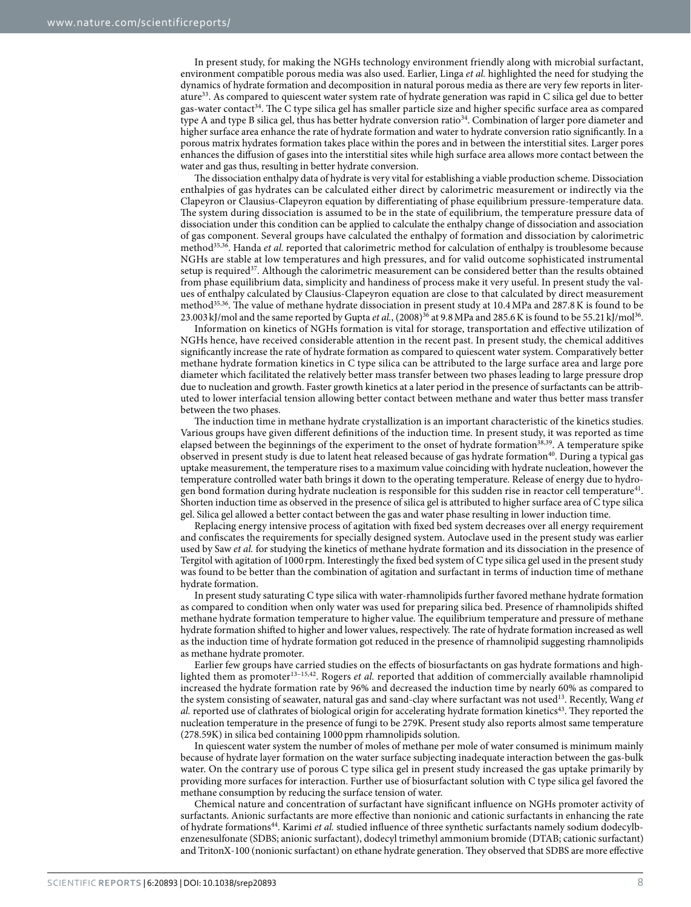In present study, for making the NGHs technology environment friendly along with microbial surfactant, environment compatible porous media was also used. Earlier, Linga et al. highlighted the need for studying the dynamics of hydrate formation and decomposition in natural porous media as there are very few reports in literature<sup>33</sup>. As compared to quiescent water system rate of hydrate generation was rapid in C silica gel due to better gas-water contact<sup>34</sup>. The C type silica gel has smaller particle size and higher specific surface area as compared type A and type B silica gel, thus has better hydrate conversion ratio<sup>34</sup>. Combination of larger pore diameter and higher surface area enhance the rate of hydrate formation and water to hydrate conversion ratio significantly. In a porous matrix hydrates formation takes place within the pores and in between the interstitial sites. Larger pores enhances the diffusion of gases into the interstitial sites while high surface area allows more contact between the water and gas thus, resulting in better hydrate conversion.

The dissociation enthalpy data of hydrate is very vital for establishing a viable production scheme. Dissociation enthalpies of gas hydrates can be calculated either direct by calorimetric measurement or indirectly via the Clapeyron or Clausius-Clapeyron equation by differentiating of phase equilibrium pressure-temperature data. The system during dissociation is assumed to be in the state of equilibrium, the temperature pressure data of dissociation under this condition can be applied to calculate the enthalpy change of dissociation and association of gas component. Several groups have calculated the enthalpy of formation and dissociation by calorimetric method<sup>35,36</sup>. Handa *et al.* reported that calorimetric method for calculation of enthalpy is troublesome because NGHs are stable at low temperatures and high pressures, and for valid outcome sophisticated instrumental setup is required<sup>37</sup>. Although the calorimetric measurement can be considered better than the results obtained from phase equilibrium data, simplicity and handiness of process make it very useful. In present study the values of enthalpy calculated by Clausius-Clapeyron equation are close to that calculated by direct measurement method35,36. The value of methane hydrate dissociation in present study at 10.4 MPa and 287.8 K is found to be 23.003 kJ/mol and the same reported by Gupta *et al.*,  $(2008)^{36}$  at 9.8 MPa and 285.6K is found to be 55.21 kJ/mol<sup>36</sup>.

Information on kinetics of NGHs formation is vital for storage, transportation and effective utilization of NGHs hence, have received considerable attention in the recent past. In present study, the chemical additives significantly increase the rate of hydrate formation as compared to quiescent water system. Comparatively better methane hydrate formation kinetics in C type silica can be attributed to the large surface area and large pore diameter which facilitated the relatively better mass transfer between two phases leading to large pressure drop due to nucleation and growth. Faster growth kinetics at a later period in the presence of surfactants can be attributed to lower interfacial tension allowing better contact between methane and water thus better mass transfer between the two phases.

The induction time in methane hydrate crystallization is an important characteristic of the kinetics studies. Various groups have given different definitions of the induction time. In present study, it was reported as time elapsed between the beginnings of the experiment to the onset of hydrate formation<sup>38,39</sup>. A temperature spike observed in present study is due to latent heat released because of gas hydrate formation<sup>40</sup>. During a typical gas uptake measurement, the temperature rises to a maximum value coinciding with hydrate nucleation, however the temperature controlled water bath brings it down to the operating temperature. Release of energy due to hydrogen bond formation during hydrate nucleation is responsible for this sudden rise in reactor cell temperature $^{41}$ . Shorten induction time as observed in the presence of silica gel is attributed to higher surface area of C type silica gel. Silica gel allowed a better contact between the gas and water phase resulting in lower induction time.

Replacing energy intensive process of agitation with fixed bed system decreases over all energy requirement and confiscates the requirements for specially designed system. Autoclave used in the present study was earlier used by Saw et al. for studying the kinetics of methane hydrate formation and its dissociation in the presence of Tergitol with agitation of 1000 rpm. Interestingly the fixed bed system of C type silica gel used in the present study was found to be better than the combination of agitation and surfactant in terms of induction time of methane hydrate formation.

In present study saturating C type silica with water-rhamnolipids further favored methane hydrate formation as compared to condition when only water was used for preparing silica bed. Presence of rhamnolipids shifted methane hydrate formation temperature to higher value. The equilibrium temperature and pressure of methane hydrate formation shifted to higher and lower values, respectively. The rate of hydrate formation increased as well as the induction time of hydrate formation got reduced in the presence of rhamnolipid suggesting rhamnolipids as methane hydrate promoter.

Earlier few groups have carried studies on the effects of biosurfactants on gas hydrate formations and highlighted them as promoter<sup>13–15,42</sup>. Rogers *et al.* reported that addition of commercially available rhamnolipid increased the hydrate formation rate by 96% and decreased the induction time by nearly 60% as compared to the system consisting of seawater, natural gas and sand-clay where surfactant was not used<sup>13</sup>. Recently, Wang et al. reported use of clathrates of biological origin for accelerating hydrate formation kinetics<sup>43</sup>. They reported the nucleation temperature in the presence of fungi to be 279K. Present study also reports almost same temperature (278.59K) in silica bed containing 1000 ppm rhamnolipids solution.

In quiescent water system the number of moles of methane per mole of water consumed is minimum mainly because of hydrate layer formation on the water surface subjecting inadequate interaction between the gas-bulk water. On the contrary use of porous C type silica gel in present study increased the gas uptake primarily by providing more surfaces for interaction. Further use of biosurfactant solution with C type silica gel favored the methane consumption by reducing the surface tension of water.

Chemical nature and concentration of surfactant have significant influence on NGHs promoter activity of surfactants. Anionic surfactants are more effective than nonionic and cationic surfactants in enhancing the rate of hydrate formations<sup>44</sup>. Karimi *et al.* studied influence of three synthetic surfactants namely sodium dodecylbenzenesulfonate (SDBS; anionic surfactant), dodecyl trimethyl ammonium bromide (DTAB; cationic surfactant) and TritonX-100 (nonionic surfactant) on ethane hydrate generation. They observed that SDBS are more effective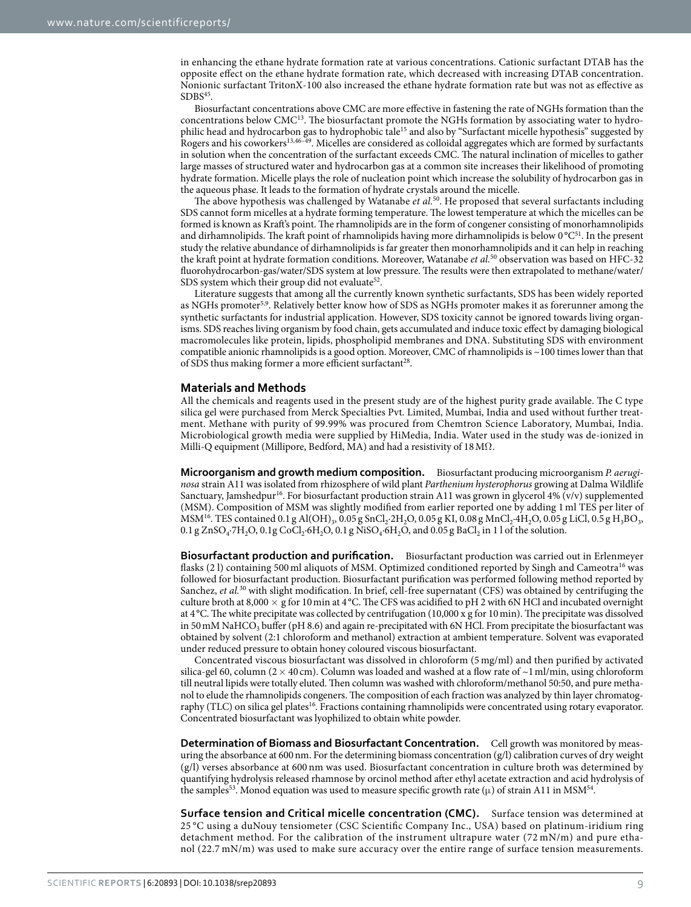in enhancing the ethane hydrate formation rate at various concentrations. Cationic surfactant DTAB has the opposite effect on the ethane hydrate formation rate, which decreased with increasing DTAB concentration. Nonionic surfactant TritonX-100 also increased the ethane hydrate formation rate but was not as effective as  $SDBS<sup>45</sup>$ .

Biosurfactant concentrations above CMC are more effective in fastening the rate of NGHs formation than the concentrations below CMC<sup>13</sup>. The biosurfactant promote the NGHs formation by associating water to hydrophilic head and hydrocarbon gas to hydrophobic tale<sup>15</sup> and also by "Surfactant micelle hypothesis" suggested by Rogers and his coworkers13,46–49. Micelles are considered as colloidal aggregates which are formed by surfactants in solution when the concentration of the surfactant exceeds CMC. The natural inclination of micelles to gather large masses of structured water and hydrocarbon gas at a common site increases their likelihood of promoting hydrate formation. Micelle plays the role of nucleation point which increase the solubility of hydrocarbon gas in the aqueous phase. It leads to the formation of hydrate crystals around the micelle.

The above hypothesis was challenged by Watanabe et al.<sup>50</sup>. He proposed that several surfactants including SDS cannot form micelles at a hydrate forming temperature. The lowest temperature at which the micelles can be formed is known as Kraft's point. The rhamnolipids are in the form of congener consisting of monorhamnolipids and dirhamnolipids. The kraft point of rhamnolipids having more dirhamnolipids is below  $0^{\circ}C^{51}$ . In the present study the relative abundance of dirhamnolipids is far greater then monorhamnolipids and it can help in reaching the kraft point at hydrate formation conditions. Moreover, Watanabe et al.<sup>50</sup> observation was based on HFC-32 fluorohydrocarbon-gas/water/SDS system at low pressure. The results were then extrapolated to methane/water/ SDS system which their group did not evaluate<sup>52</sup>.

Literature suggests that among all the currently known synthetic surfactants, SDS has been widely reported as NGHs promoter<sup>5,9</sup>. Relatively better know how of SDS as NGHs promoter makes it as forerunner among the synthetic surfactants for industrial application. However, SDS toxicity cannot be ignored towards living organisms. SDS reaches living organism by food chain, gets accumulated and induce toxic effect by damaging biological macromolecules like protein, lipids, phospholipid membranes and DNA. Substituting SDS with environment compatible anionic rhamnolipids is a good option. Moreover, CMC of rhamnolipids is ~100 times lower than that of SDS thus making former a more efficient surfactant<sup>28</sup>.

#### **Materials and Methods**

All the chemicals and reagents used in the present study are of the highest purity grade available. The C type silica gel were purchased from Merck Specialties Pvt. Limited, Mumbai, India and used without further treatment. Methane with purity of 99.99% was procured from Chemtron Science Laboratory, Mumbai, India. Microbiological growth media were supplied by HiMedia, India. Water used in the study was de-ionized in Milli-Q equipment (Millipore, Bedford, MA) and had a resistivity of 18 MΩ .

**Microorganism and growth medium composition.** Biosurfactant producing microorganism P. aeruginosa strain A11 was isolated from rhizosphere of wild plant Parthenium hysterophorus growing at Dalma Wildlife Sanctuary, Jamshedpur<sup>16</sup>. For biosurfactant production strain A11 was grown in glycerol 4% (v/v) supplemented (MSM). Composition of MSM was slightly modified from earlier reported one by adding 1 ml TES per liter of  $\rm{MSM^{16}.}$  TES contained 0.1 g Al(OH)<sub>3</sub>, 0.05 g SnCl<sub>2</sub>·2H<sub>2</sub>O, 0.05 g KI, 0.08 g MnCl<sub>2</sub>·4H<sub>2</sub>O, 0.05 g LiCl, 0.5 g H<sub>3</sub>BO<sub>3</sub>,  $0.1$  g ZnSO<sub>4</sub>·7H<sub>2</sub>O,  $0.1$ g CoCl<sub>2</sub>·6H<sub>2</sub>O,  $0.1$ g NiSO<sub>4</sub>·6H<sub>2</sub>O, and  $0.05$ g BaCl<sub>2</sub> in 1 l of the solution.

**Biosurfactant production and purification.** Biosurfactant production was carried out in Erlenmeyer flasks (2 l) containing 500 ml aliquots of MSM. Optimized conditioned reported by Singh and Cameotra<sup>16</sup> was followed for biosurfactant production. Biosurfactant purification was performed following method reported by Sanchez, et al.<sup>30</sup> with slight modification. In brief, cell-free supernatant (CFS) was obtained by centrifuging the culture broth at 8,000  $\times$  g for 10 min at 4 °C. The CFS was acidified to pH 2 with 6N HCl and incubated overnight at 4 °C. The white precipitate was collected by centrifugation (10,000 x g for 10 min). The precipitate was dissolved in 50 mM NaHCO<sub>3</sub> buffer (pH 8.6) and again re-precipitated with 6N HCl. From precipitate the biosurfactant was obtained by solvent (2:1 chloroform and methanol) extraction at ambient temperature. Solvent was evaporated under reduced pressure to obtain honey coloured viscous biosurfactant.

Concentrated viscous biosurfactant was dissolved in chloroform (5 mg/ml) and then purified by activated silica-gel 60, column (2  $\times$  40 cm). Column was loaded and washed at a flow rate of  $\sim$ 1 ml/min, using chloroform till neutral lipids were totally eluted. Then column was washed with chloroform/methanol 50:50, and pure methanol to elude the rhamnolipids congeners. The composition of each fraction was analyzed by thin layer chromatography (TLC) on silica gel plates<sup>16</sup>. Fractions containing rhamnolipids were concentrated using rotary evaporator. Concentrated biosurfactant was lyophilized to obtain white powder.

**Determination of Biomass and Biosurfactant Concentration.** Cell growth was monitored by measuring the absorbance at 600 nm. For the determining biomass concentration (g/l) calibration curves of dry weight (g/l) verses absorbance at 600 nm was used. Biosurfactant concentration in culture broth was determined by quantifying hydrolysis released rhamnose by orcinol method after ethyl acetate extraction and acid hydrolysis of the samples<sup>53</sup>. Monod equation was used to measure specific growth rate ( $\mu$ ) of strain A11 in MSM<sup>54</sup>.

**surface tension and Critical micelle concentration (CMC).** Surface tension was determined at 25 °C using a duNouy tensiometer (CSC Scientific Company Inc., USA) based on platinum-iridium ring detachment method. For the calibration of the instrument ultrapure water (72 mN/m) and pure ethanol (22.7 mN/m) was used to make sure accuracy over the entire range of surface tension measurements.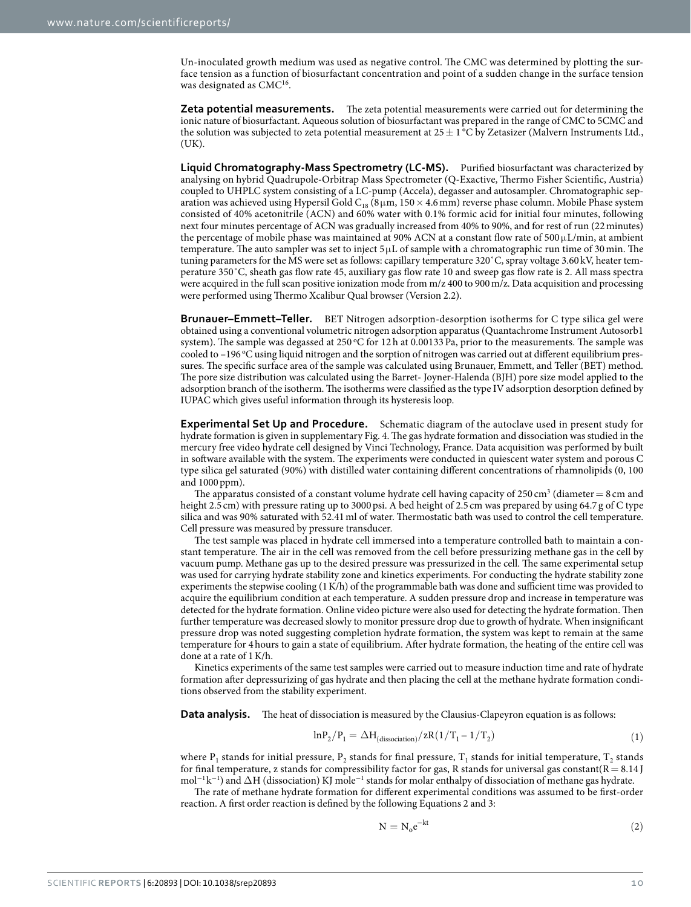Un-inoculated growth medium was used as negative control. The CMC was determined by plotting the surface tension as a function of biosurfactant concentration and point of a sudden change in the surface tension was designated as CMC<sup>16</sup>.

**Zeta potential measurements.** The zeta potential measurements were carried out for determining the ionic nature of biosurfactant. Aqueous solution of biosurfactant was prepared in the range of CMC to 5CMC and the solution was subjected to zeta potential measurement at  $25 \pm 1^{\circ}$ C by Zetasizer (Malvern Instruments Ltd., (UK).

**Liquid Chromatography-Mass spectrometry (LC-Ms).** Purified biosurfactant was characterized by analysing on hybrid Quadrupole-Orbitrap Mass Spectrometer (Q-Exactive, Thermo Fisher Scientific, Austria) coupled to UHPLC system consisting of a LC-pump (Accela), degasser and autosampler. Chromatographic separation was achieved using Hypersil Gold  $\rm{C}_{18}$  (8 $\rm{\upmu m},$  150  $\times$  4.6 mm) reverse phase column. Mobile Phase system consisted of 40% acetonitrile (ACN) and 60% water with 0.1% formic acid for initial four minutes, following next four minutes percentage of ACN was gradually increased from 40% to 90%, and for rest of run (22 minutes) the percentage of mobile phase was maintained at 90% ACN at a constant flow rate of  $500 \mu L/min$ , at ambient temperature. The auto sampler was set to inject  $5 \mu L$  of sample with a chromatographic run time of 30 min. The tuning parameters for the MS were set as follows: capillary temperature 320˚C, spray voltage 3.60 kV, heater temperature 350˚C, sheath gas flow rate 45, auxiliary gas flow rate 10 and sweep gas flow rate is 2. All mass spectra were acquired in the full scan positive ionization mode from m/z 400 to 900 m/z. Data acquisition and processing were performed using Thermo Xcalibur Qual browser (Version 2.2).

**Brunauer–Emmett–Teller.** BET Nitrogen adsorption-desorption isotherms for C type silica gel were obtained using a conventional volumetric nitrogen adsorption apparatus (Quantachrome Instrument Autosorb1 system). The sample was degassed at 250 °C for 12 h at 0.00133 Pa, prior to the measurements. The sample was cooled to -196 °C using liquid nitrogen and the sorption of nitrogen was carried out at different equilibrium pressures. The specific surface area of the sample was calculated using Brunauer, Emmett, and Teller (BET) method. The pore size distribution was calculated using the Barret- Joyner-Halenda (BJH) pore size model applied to the adsorption branch of the isotherm. The isotherms were classified as the type IV adsorption desorption defined by IUPAC which gives useful information through its hysteresis loop.

**Experimental Set Up and Procedure.** Schematic diagram of the autoclave used in present study for hydrate formation is given in supplementary Fig. 4. The gas hydrate formation and dissociation was studied in the mercury free video hydrate cell designed by Vinci Technology, France. Data acquisition was performed by built in software available with the system. The experiments were conducted in quiescent water system and porous C type silica gel saturated (90%) with distilled water containing different concentrations of rhamnolipids (0, 100 and 1000 ppm).

The apparatus consisted of a constant volume hydrate cell having capacity of  $250 \text{ cm}^3$  (diameter  $= 8 \text{ cm}$  and height 2.5 cm) with pressure rating up to 3000 psi. A bed height of 2.5 cm was prepared by using 64.7 g of C type silica and was 90% saturated with 52.41 ml of water. Thermostatic bath was used to control the cell temperature. Cell pressure was measured by pressure transducer.

The test sample was placed in hydrate cell immersed into a temperature controlled bath to maintain a constant temperature. The air in the cell was removed from the cell before pressurizing methane gas in the cell by vacuum pump. Methane gas up to the desired pressure was pressurized in the cell. The same experimental setup was used for carrying hydrate stability zone and kinetics experiments. For conducting the hydrate stability zone experiments the stepwise cooling (1 K/h) of the programmable bath was done and sufficient time was provided to acquire the equilibrium condition at each temperature. A sudden pressure drop and increase in temperature was detected for the hydrate formation. Online video picture were also used for detecting the hydrate formation. Then further temperature was decreased slowly to monitor pressure drop due to growth of hydrate. When insignificant pressure drop was noted suggesting completion hydrate formation, the system was kept to remain at the same temperature for 4 hours to gain a state of equilibrium. After hydrate formation, the heating of the entire cell was done at a rate of 1 K/h.

Kinetics experiments of the same test samples were carried out to measure induction time and rate of hydrate formation after depressurizing of gas hydrate and then placing the cell at the methane hydrate formation conditions observed from the stability experiment.

**Data analysis.** The heat of dissociation is measured by the Clausius-Clapeyron equation is as follows:

$$
ln P_2/P_1 = \Delta H_{(dissociation)}/zR(1/T_1 - 1/T_2)
$$
\n(1)

where  $P_1$  stands for initial pressure,  $P_2$  stands for final pressure,  $T_1$  stands for initial temperature,  $T_2$  stands for final temperature, z stands for compressibility factor for gas, R stands for universal gas constant( $R = 8.14$ ] mol<sup>-1</sup>k<sup>-1</sup>) and  $\Delta$ H (dissociation) KJ mole<sup>-1</sup> stands for molar enthalpy of dissociation of methane gas hydrate.

The rate of methane hydrate formation for different experimental conditions was assumed to be first-order reaction. A first order reaction is defined by the following Equations 2 and 3:

$$
N = N_0 e^{-kt} \tag{2}
$$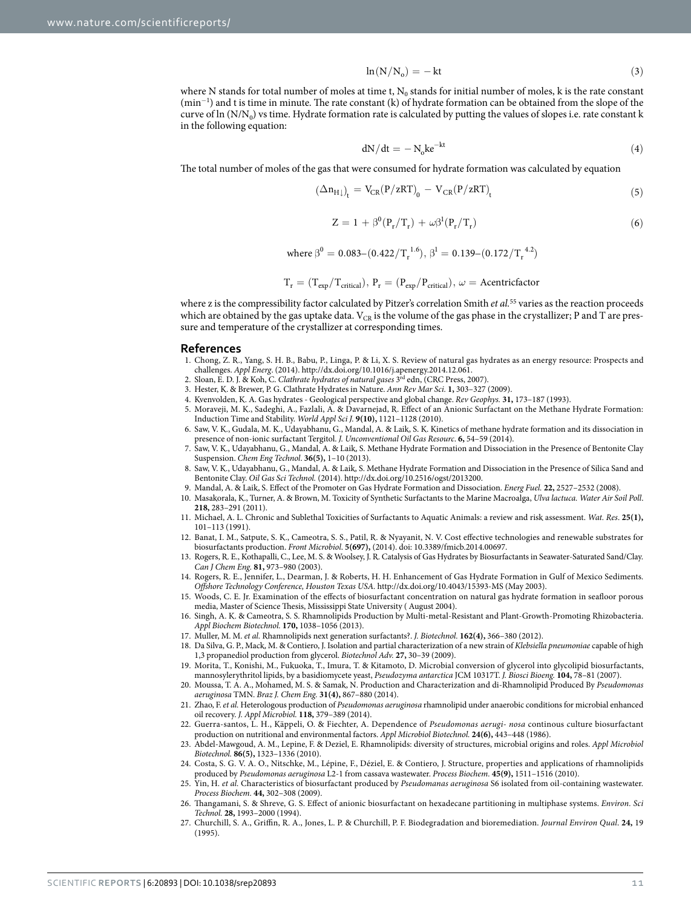$$
\ln(N/N_o) = -kt \tag{3}
$$

where N stands for total number of moles at time t,  $N_0$  stands for initial number of moles, k is the rate constant (min<sup>−</sup><sup>1</sup> ) and t is time in minute. The rate constant (k) of hydrate formation can be obtained from the slope of the curve of  $\ln(N/N_0)$  vs time. Hydrate formation rate is calculated by putting the values of slopes i.e. rate constant k in the following equation:

$$
dN/dt = -N_0 k e^{-kt}
$$
 (4)

The total number of moles of the gas that were consumed for hydrate formation was calculated by equation

$$
\left(\Delta n_{\rm H}\right)_{\rm t} = V_{\rm CR} (P/zRT)_{\rm 0} - V_{\rm CR} (P/zRT)_{\rm t} \tag{5}
$$

$$
Z = 1 + \beta^{0} (P_{r}/T_{r}) + \omega \beta^{1} (P_{r}/T_{r})
$$
\n(6)

where 
$$
\beta^0 = 0.083 - (0.422/T_r^{1.6}), \beta^1 = 0.139 - (0.172/T_r^{4.2})
$$

$$
T_r = (T_{exp}/T_{critical}), \, P_r = (P_{exp}/P_{critical}), \, \omega = Acentricfactor
$$

where z is the compressibility factor calculated by Pitzer's correlation Smith et  $al$ .<sup>55</sup> varies as the reaction proceeds which are obtained by the gas uptake data.  $V_{CR}$  is the volume of the gas phase in the crystallizer; P and T are pressure and temperature of the crystallizer at corresponding times.

#### **References**

- 1. Chong, Z. R., Yang, S. H. B., Babu, P., Linga, P. & Li, X. S. Review of natural gas hydrates as an energy resource: Prospects and
- challenges. Appl Energ. (2014). http://dx.doi.org/10.1016/j.apenergy.2014.12.061.<br>2. Sloan, E. D. J. & Koh, C. Clathrate hydrates of natural gases <sup>3rd</sup> edn, (CRC Press, 2007).
- 3. Hester, K. & Brewer, P. G. Clathrate Hydrates in Nature. Ann Rev Mar Sci. **1,** 303–327 (2009).
- 4. Kvenvolden, K. A. Gas hydrates Geological perspective and global change. Rev Geophys. **31,** 173–187 (1993).
- 5. Moraveji, M. K., Sadeghi, A., Fazlali, A. & Davarnejad, R. Effect of an Anionic Surfactant on the Methane Hydrate Formation: Induction Time and Stability. World Appl Sci J. **9(10),** 1121–1128 (2010).
- 6. Saw, V. K., Gudala, M. K., Udayabhanu, G., Mandal, A. & Laik, S. K. Kinetics of methane hydrate formation and its dissociation in presence of non-ionic surfactant Tergitol. J. Unconventional Oil Gas Resourc. **6,** 54–59 (2014).
- 7. Saw, V. K., Udayabhanu, G., Mandal, A. & Laik, S. Methane Hydrate Formation and Dissociation in the Presence of Bentonite Clay Suspension. Chem Eng Technol. **36(5),** 1–10 (2013).
- 8. Saw, V. K., Udayabhanu, G., Mandal, A. & Laik, S. Methane Hydrate Formation and Dissociation in the Presence of Silica Sand and Bentonite Clay. Oil Gas Sci Technol. (2014). http://dx.doi.org/10.2516/ogst/2013200.
- 9. Mandal, A. & Laik, S. Effect of the Promoter on Gas Hydrate Formation and Dissociation. Energ Fuel. **22,** 2527–2532 (2008).
- 10. Masakorala, K., Turner, A. & Brown, M. Toxicity of Synthetic Surfactants to the Marine Macroalga, Ulva lactuca. Water Air Soil Poll. **218,** 283–291 (2011).
- 11. Michael, A. L. Chronic and Sublethal Toxicities of Surfactants to Aquatic Animals: a review and risk assessment. Wat. Res. **25(1),** 101–113 (1991).
- 12. Banat, I. M., Satpute, S. K., Cameotra, S. S., Patil, R. & Nyayanit, N. V. Cost effective technologies and renewable substrates for biosurfactants production. Front Microbiol. **5(697),** (2014). doi: 10.3389/fmicb.2014.00697.
- 13. Rogers, R. E., Kothapalli, C., Lee, M. S. & Woolsey, J. R. Catalysis of Gas Hydrates by Biosurfactants in Seawater-Saturated Sand/Clay. Can J Chem Eng. **81,** 973–980 (2003).
- 14. Rogers, R. E., Jennifer, L., Dearman, J. & Roberts, H. H. Enhancement of Gas Hydrate Formation in Gulf of Mexico Sediments. Offshore Technology Conference, Houston Texas USA. http://dx.doi.org/10.4043/15393-MS (May 2003).
- 15. Woods, C. E. Jr. Examination of the effects of biosurfactant concentration on natural gas hydrate formation in seafloor porous media, Master of Science Thesis, Mississippi State University ( August 2004).
- 16. Singh, A. K. & Cameotra, S. S. Rhamnolipids Production by Multi-metal-Resistant and Plant-Growth-Promoting Rhizobacteria. Appl Biochem Biotechnol. **170,** 1038–1056 (2013).
- 17. Muller, M. M. et al. Rhamnolipids next generation surfactants?. J. Biotechnol. **162(4),** 366–380 (2012).
- 18. Da Silva, G. P., Mack, M. & Contiero, J. Isolation and partial characterization of a new strain of Klebsiella pneumoniae capable of high 1,3 propanediol production from glycerol. Biotechnol Adv. **27,** 30–39 (2009).
- 19. Morita, T., Konishi, M., Fukuoka, T., Imura, T. & Kitamoto, D. Microbial conversion of glycerol into glycolipid biosurfactants, mannosylerythritol lipids, by a basidiomycete yeast, Pseudozyma antarctica JCM 10317T. J. Biosci Bioeng. **104,** 78–81 (2007).
- 20. Moussa, T. A. A., Mohamed, M. S. & Samak, N. Production and Characterization and di-Rhamnolipid Produced By Pseudomonas aeruginosa TMN. Braz J. Chem Eng. **31(4),** 867–880 (2014).
- 21. Zhao, F. et al. Heterologous production of Pseudomonas aeruginosa rhamnolipid under anaerobic conditions for microbial enhanced oil recovery. J. Appl Microbiol. **118,** 379–389 (2014).
- 22. Guerra-santos, L. H., Käppeli, O. & Fiechter, A. Dependence of Pseudomonas aerugi-nosa continous culture biosurfactant production on nutritional and environmental factors. Appl Microbiol Biotechnol. **24(6),** 443–448 (1986).
- 23. Abdel-Mawgoud, A. M., Lepine, F. & Deziel, E. Rhamnolipids: diversity of structures, microbial origins and roles. Appl Microbiol Biotechnol. **86(5),** 1323–1336 (2010).
- 24. Costa, S. G. V. A. O., Nitschke, M., Lépine, F., Déziel, E. & Contiero, J. Structure, properties and applications of rhamnolipids produced by Pseudomonas aeruginosa L2-1 from cassava wastewater. Process Biochem. **45(9),** 1511–1516 (2010).
- 25. Yin, H. et al. Characteristics of biosurfactant produced by Pseudomanas aeruginosa S6 isolated from oil-containing wastewater. Process Biochem. **44,** 302–308 (2009).
- 26. Thangamani, S. & Shreve, G. S. Effect of anionic biosurfactant on hexadecane partitioning in multiphase systems. Environ. Sci Technol. **28,** 1993–2000 (1994).
- 27. Churchill, S. A., Griffin, R. A., Jones, L. P. & Churchill, P. F. Biodegradation and bioremediation. Journal Environ Qual. **24,** 19 (1995).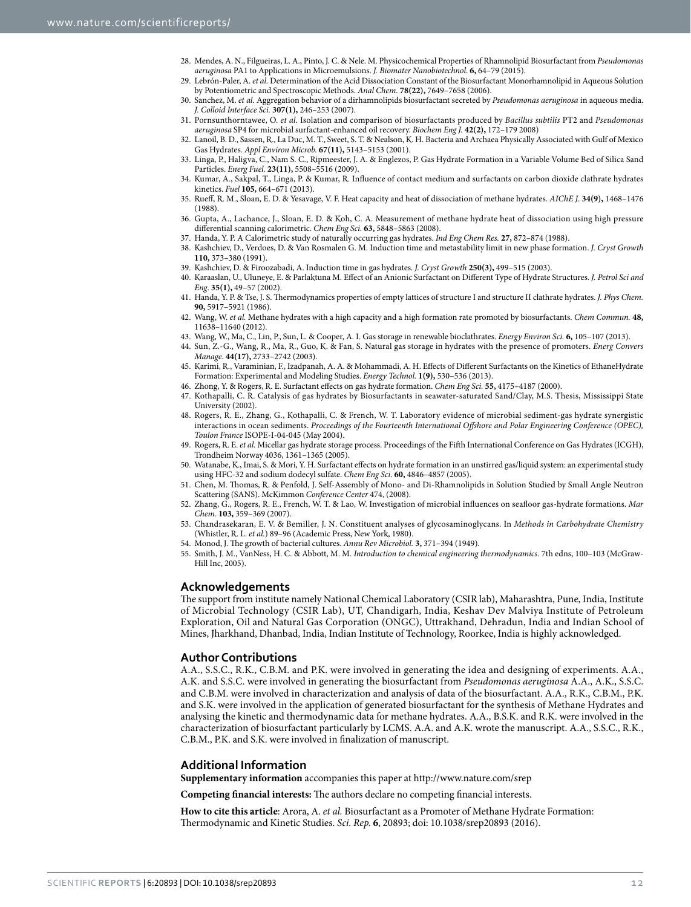- 28. Mendes, A. N., Filgueiras, L. A., Pinto, J. C. & Nele. M. Physicochemical Properties of Rhamnolipid Biosurfactant from Pseudomonas aeruginosa PA1 to Applications in Microemulsions. J. Biomater Nanobiotechnol. **6,** 64–79 (2015).
- 29. Lebrón-Paler, A. et al. Determination of the Acid Dissociation Constant of the Biosurfactant Monorhamnolipid in Aqueous Solution by Potentiometric and Spectroscopic Methods. Anal Chem. **78(22),** 7649–7658 (2006).
- 30. Sanchez, M. et al. Aggregation behavior of a dirhamnolipids biosurfactant secreted by Pseudomonas aeruginosa in aqueous media. J. Colloid Interface Sci. **307(1),** 246–253 (2007).
- 31. Pornsunthorntawee, O. et al. Isolation and comparison of biosurfactants produced by Bacillus subtilis PT2 and Pseudomonas aeruginosa SP4 for microbial surfactant-enhanced oil recovery. Biochem Eng J. **42(2),** 172–179 2008)
- 32. Lanoil, B. D., Sassen, R., La Duc, M. T., Sweet, S. T. & Nealson, K. H. Bacteria and Archaea Physically Associated with Gulf of Mexico Gas Hydrates. Appl Environ Microb. **67(11),** 5143–5153 (2001).
- 33. Linga, P., Haligva, C., Nam S. C., Ripmeester, J. A. & Englezos, P. Gas Hydrate Formation in a Variable Volume Bed of Silica Sand Particles. Energ Fuel. **23(11),** 5508–5516 (2009).
- 34. Kumar, A., Sakpal, T., Linga, P. & Kumar, R. Influence of contact medium and surfactants on carbon dioxide clathrate hydrates kinetics. Fuel **105,** 664–671 (2013).
- 35. Rueff, R. M., Sloan, E. D. & Yesavage, V. F. Heat capacity and heat of dissociation of methane hydrates. AIChE J. **34(9),** 1468–1476 (1988).
- 36. Gupta, A., Lachance, J., Sloan, E. D. & Koh, C. A. Measurement of methane hydrate heat of dissociation using high pressure differential scanning calorimetric. Chem Eng Sci. **63,** 5848–5863 (2008).
- 37. Handa, Y. P. A Calorimetric study of naturally occurring gas hydrates. Ind Eng Chem Res. **27,** 872–874 (1988).
- 38. Kashchiev, D., Verdoes, D. & Van Rosmalen G. M. Induction time and metastability limit in new phase formation. J. Cryst Growth **110,** 373–380 (1991).
- 39. Kashchiev, D. & Firoozabadi, A. Induction time in gas hydrates. J. Cryst Growth **250(3),** 499–515 (2003).
- 40. Karaaslan, U., Uluneye, E. & Parlaktuna M. Effect of an Anionic Surfactant on Different Type of Hydrate Structures. J. Petrol Sci and Eng. **35(1),** 49–57 (2002).
- 41. Handa, Y. P. & Tse, J. S. Thermodynamics properties of empty lattices of structure I and structure II clathrate hydrates. J. Phys Chem. **90,** 5917–5921 (1986).
- 42. Wang, W. et al. Methane hydrates with a high capacity and a high formation rate promoted by biosurfactants. Chem Commun. **48,** 11638–11640 (2012).
- 43. Wang, W., Ma, C., Lin, P., Sun, L. & Cooper, A. I. Gas storage in renewable bioclathrates. Energy Environ Sci. **6,** 105–107 (2013).
- 44. Sun, Z.-G., Wang, R., Ma, R., Guo, K. & Fan, S. Natural gas storage in hydrates with the presence of promoters. Energ Convers Manage. **44(17),** 2733–2742 (2003).
- 45. Karimi, R., Varaminian, F., Izadpanah, A. A. & Mohammadi, A. H. Effects of Different Surfactants on the Kinetics of EthaneHydrate Formation: Experimental and Modeling Studies. Energy Technol. **1(9),** 530–536 (2013).
- 46. Zhong, Y. & Rogers, R. E. Surfactant effects on gas hydrate formation. Chem Eng Sci. **55,** 4175–4187 (2000).
- 47. Kothapalli, C. R. Catalysis of gas hydrates by Biosurfactants in seawater-saturated Sand/Clay, M.S. Thesis, Mississippi State University (2002).
- 48. Rogers, R. E., Zhang, G., Kothapalli, C. & French, W. T. Laboratory evidence of microbial sediment-gas hydrate synergistic interactions in ocean sediments. Proceedings of the Fourteenth International Offshore and Polar Engineering Conference (OPEC), Toulon France ISOPE-I-04-045 (May 2004).
- 49. Rogers, R. E. et al. Micellar gas hydrate storage process. Proceedings of the Fifth International Conference on Gas Hydrates (ICGH), Trondheim Norway 4036, 1361–1365 (2005).
- 50. Watanabe, K., Imai, S. & Mori, Y. H. Surfactant effects on hydrate formation in an unstirred gas/liquid system: an experimental study using HFC-32 and sodium dodecyl sulfate. Chem Eng Sci. **60,** 4846–4857 (2005).
- 51. Chen, M. Thomas, R. & Penfold, J. Self-Assembly of Mono- and Di-Rhamnolipids in Solution Studied by Small Angle Neutron Scattering (SANS). McKimmon Conference Center 474, (2008).
- 52. Zhang, G., Rogers, R. E., French, W. T. & Lao, W. Investigation of microbial influences on seafloor gas-hydrate formations. Mar Chem. **103,** 359–369 (2007).
- 53. Chandrasekaran, E. V. & Bemiller, J. N. Constituent analyses of glycosaminoglycans. In Methods in Carbohydrate Chemistry (Whistler, R. L. et al.) 89–96 (Academic Press, New York, 1980).
- 54. Monod, J. The growth of bacterial cultures. Annu Rev Microbiol. **3,** 371–394 (1949).
- 55. Smith, J. M., VanNess, H. C. & Abbott, M. M. Introduction to chemical engineering thermodynamics. 7th edns, 100–103 (McGraw-Hill Inc, 2005).

#### **Acknowledgements**

The support from institute namely National Chemical Laboratory (CSIR lab), Maharashtra, Pune, India, Institute of Microbial Technology (CSIR Lab), UT, Chandigarh, India, Keshav Dev Malviya Institute of Petroleum Exploration, Oil and Natural Gas Corporation (ONGC), Uttrakhand, Dehradun, India and Indian School of Mines, Jharkhand, Dhanbad, India, Indian Institute of Technology, Roorkee, India is highly acknowledged.

### **Author Contributions**

A.A., S.S.C., R.K., C.B.M. and P.K. were involved in generating the idea and designing of experiments. A.A., A.K. and S.S.C. were involved in generating the biosurfactant from Pseudomonas aeruginosa A.A., A.K., S.S.C. and C.B.M. were involved in characterization and analysis of data of the biosurfactant. A.A., R.K., C.B.M., P.K. and S.K. were involved in the application of generated biosurfactant for the synthesis of Methane Hydrates and analysing the kinetic and thermodynamic data for methane hydrates. A.A., B.S.K. and R.K. were involved in the characterization of biosurfactant particularly by LCMS. A.A. and A.K. wrote the manuscript. A.A., S.S.C., R.K., C.B.M., P.K. and S.K. were involved in finalization of manuscript.

### **Additional Information**

**Supplementary information** accompanies this paper at http://www.nature.com/srep

**Competing financial interests:** The authors declare no competing financial interests.

**How to cite this article**: Arora, A. et al. Biosurfactant as a Promoter of Methane Hydrate Formation: Thermodynamic and Kinetic Studies. Sci. Rep. **6**, 20893; doi: 10.1038/srep20893 (2016).